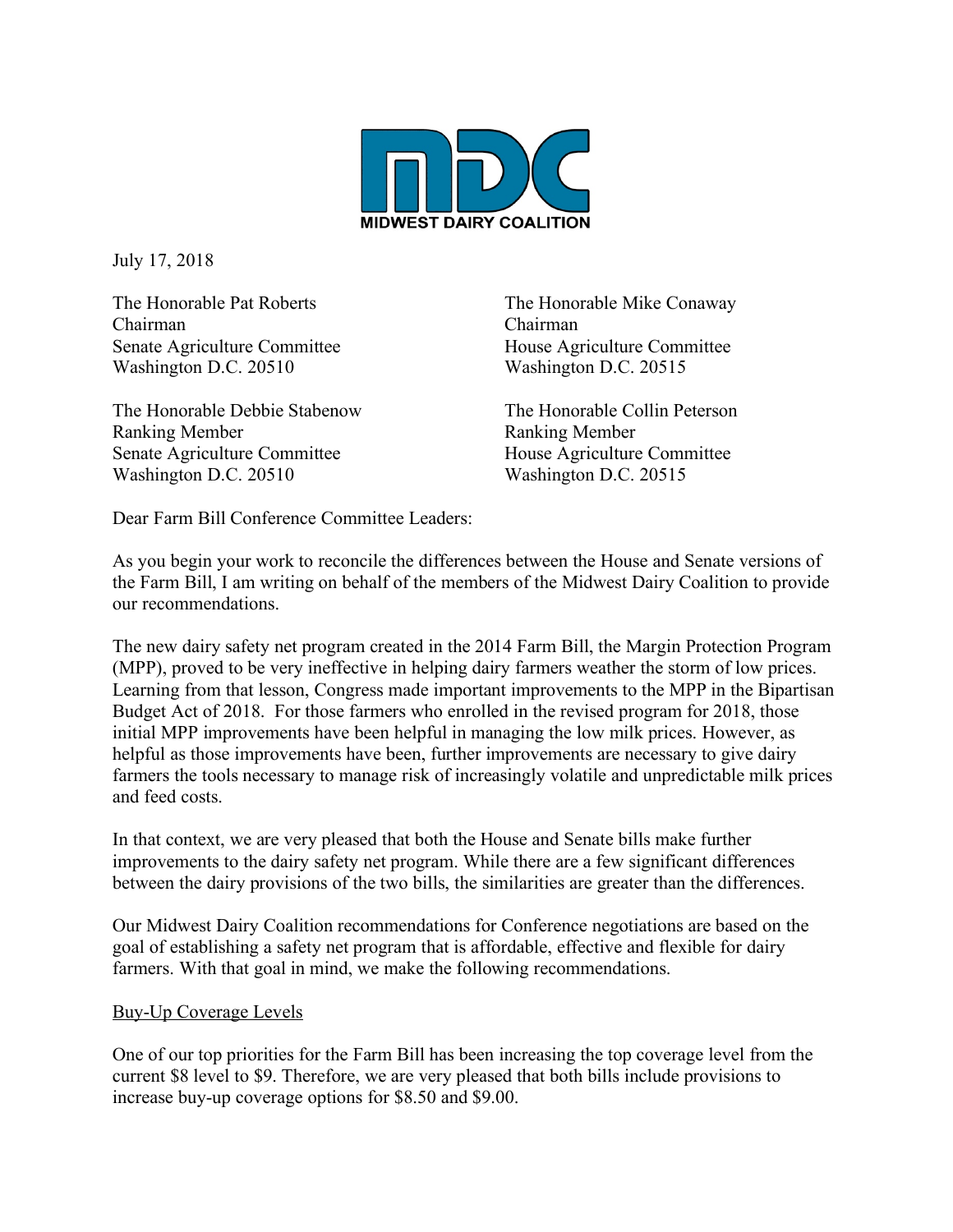

July 17, 2018

Chairman Chairman Senate Agriculture Committee House Agriculture Committee Washington D.C. 20510 Washington D.C. 20515

The Honorable Debbie Stabenow The Honorable Collin Peterson Ranking Member **Ranking Member** Senate Agriculture Committee House Agriculture Committee Washington D.C. 20510 Washington D.C. 20515

The Honorable Pat Roberts The Honorable Mike Conaway

Dear Farm Bill Conference Committee Leaders:

As you begin your work to reconcile the differences between the House and Senate versions of the Farm Bill, I am writing on behalf of the members of the Midwest Dairy Coalition to provide our recommendations.

The new dairy safety net program created in the 2014 Farm Bill, the Margin Protection Program (MPP), proved to be very ineffective in helping dairy farmers weather the storm of low prices. Learning from that lesson, Congress made important improvements to the MPP in the Bipartisan Budget Act of 2018. For those farmers who enrolled in the revised program for 2018, those initial MPP improvements have been helpful in managing the low milk prices. However, as helpful as those improvements have been, further improvements are necessary to give dairy farmers the tools necessary to manage risk of increasingly volatile and unpredictable milk prices and feed costs.

In that context, we are very pleased that both the House and Senate bills make further improvements to the dairy safety net program. While there are a few significant differences between the dairy provisions of the two bills, the similarities are greater than the differences.

Our Midwest Dairy Coalition recommendations for Conference negotiations are based on the goal of establishing a safety net program that is affordable, effective and flexible for dairy farmers. With that goal in mind, we make the following recommendations.

#### Buy-Up Coverage Levels

One of our top priorities for the Farm Bill has been increasing the top coverage level from the current \$8 level to \$9. Therefore, we are very pleased that both bills include provisions to increase buy-up coverage options for \$8.50 and \$9.00.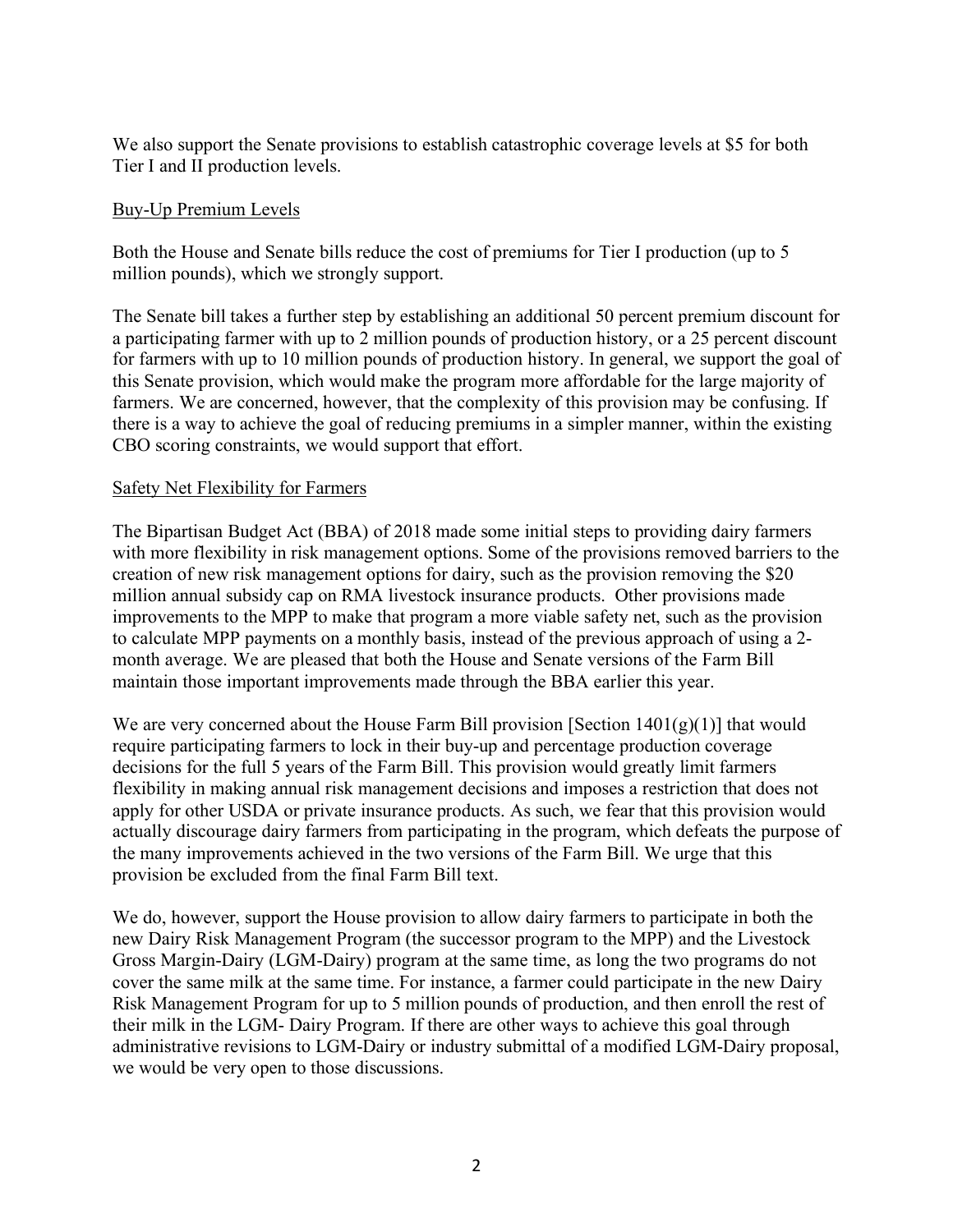We also support the Senate provisions to establish catastrophic coverage levels at \$5 for both Tier I and II production levels.

#### Buy-Up Premium Levels

Both the House and Senate bills reduce the cost of premiums for Tier I production (up to 5 million pounds), which we strongly support.

The Senate bill takes a further step by establishing an additional 50 percent premium discount for a participating farmer with up to 2 million pounds of production history, or a 25 percent discount for farmers with up to 10 million pounds of production history. In general, we support the goal of this Senate provision, which would make the program more affordable for the large majority of farmers. We are concerned, however, that the complexity of this provision may be confusing. If there is a way to achieve the goal of reducing premiums in a simpler manner, within the existing CBO scoring constraints, we would support that effort.

#### Safety Net Flexibility for Farmers

The Bipartisan Budget Act (BBA) of 2018 made some initial steps to providing dairy farmers with more flexibility in risk management options. Some of the provisions removed barriers to the creation of new risk management options for dairy, such as the provision removing the \$20 million annual subsidy cap on RMA livestock insurance products. Other provisions made improvements to the MPP to make that program a more viable safety net, such as the provision to calculate MPP payments on a monthly basis, instead of the previous approach of using a 2 month average. We are pleased that both the House and Senate versions of the Farm Bill maintain those important improvements made through the BBA earlier this year.

We are very concerned about the House Farm Bill provision [Section  $1401(g)(1)$ ] that would require participating farmers to lock in their buy-up and percentage production coverage decisions for the full 5 years of the Farm Bill. This provision would greatly limit farmers flexibility in making annual risk management decisions and imposes a restriction that does not apply for other USDA or private insurance products. As such, we fear that this provision would actually discourage dairy farmers from participating in the program, which defeats the purpose of the many improvements achieved in the two versions of the Farm Bill. We urge that this provision be excluded from the final Farm Bill text.

We do, however, support the House provision to allow dairy farmers to participate in both the new Dairy Risk Management Program (the successor program to the MPP) and the Livestock Gross Margin-Dairy (LGM-Dairy) program at the same time, as long the two programs do not cover the same milk at the same time. For instance, a farmer could participate in the new Dairy Risk Management Program for up to 5 million pounds of production, and then enroll the rest of their milk in the LGM- Dairy Program. If there are other ways to achieve this goal through administrative revisions to LGM-Dairy or industry submittal of a modified LGM-Dairy proposal, we would be very open to those discussions.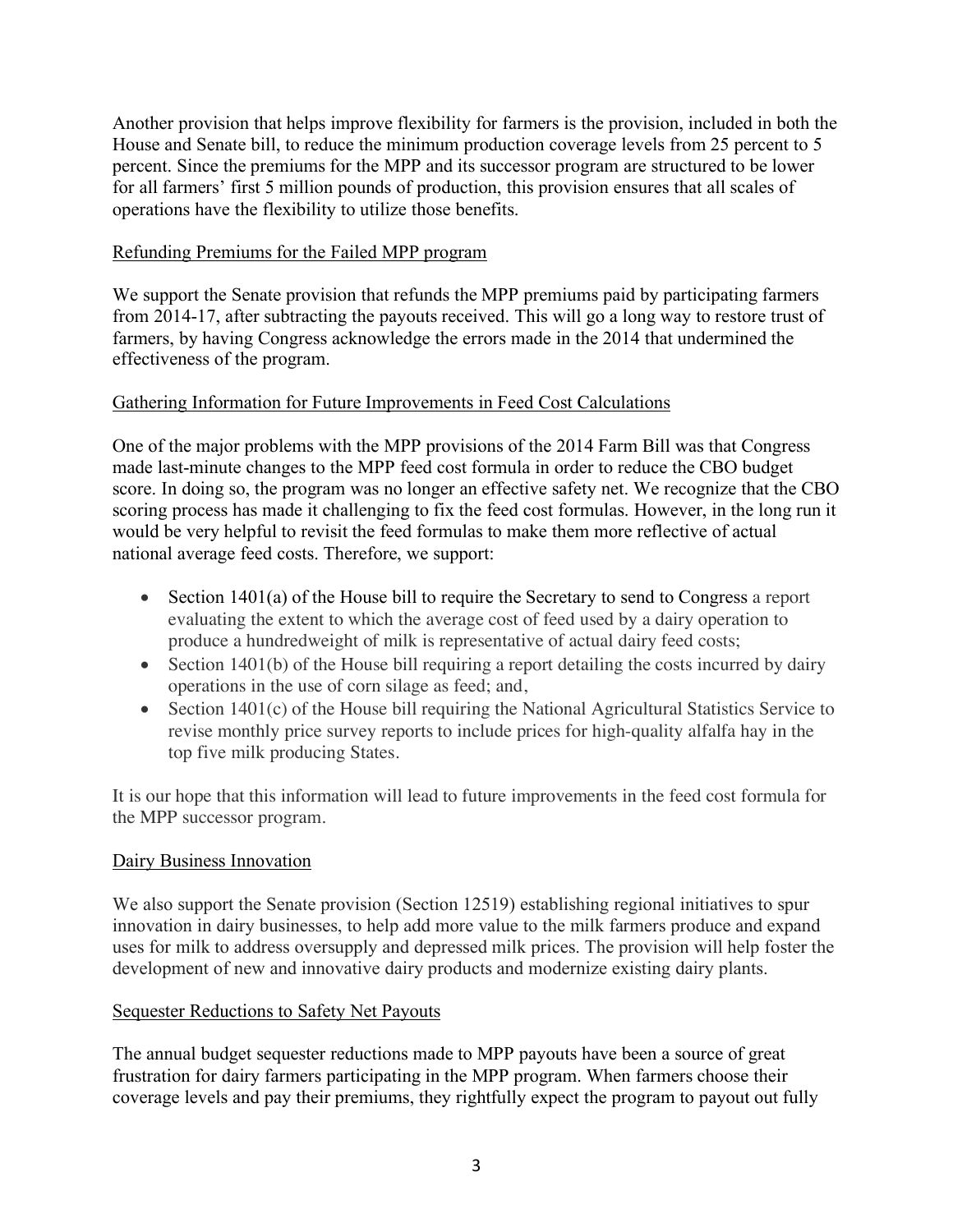Another provision that helps improve flexibility for farmers is the provision, included in both the House and Senate bill, to reduce the minimum production coverage levels from 25 percent to 5 percent. Since the premiums for the MPP and its successor program are structured to be lower for all farmers' first 5 million pounds of production, this provision ensures that all scales of operations have the flexibility to utilize those benefits.

## Refunding Premiums for the Failed MPP program

We support the Senate provision that refunds the MPP premiums paid by participating farmers from 2014-17, after subtracting the payouts received. This will go a long way to restore trust of farmers, by having Congress acknowledge the errors made in the 2014 that undermined the effectiveness of the program.

# Gathering Information for Future Improvements in Feed Cost Calculations

One of the major problems with the MPP provisions of the 2014 Farm Bill was that Congress made last-minute changes to the MPP feed cost formula in order to reduce the CBO budget score. In doing so, the program was no longer an effective safety net. We recognize that the CBO scoring process has made it challenging to fix the feed cost formulas. However, in the long run it would be very helpful to revisit the feed formulas to make them more reflective of actual national average feed costs. Therefore, we support:

- Section 1401(a) of the House bill to require the Secretary to send to Congress a report evaluating the extent to which the average cost of feed used by a dairy operation to produce a hundredweight of milk is representative of actual dairy feed costs;
- Section 1401(b) of the House bill requiring a report detailing the costs incurred by dairy operations in the use of corn silage as feed; and,
- Section 1401(c) of the House bill requiring the National Agricultural Statistics Service to revise monthly price survey reports to include prices for high-quality alfalfa hay in the top five milk producing States.

It is our hope that this information will lead to future improvements in the feed cost formula for the MPP successor program.

## Dairy Business Innovation

We also support the Senate provision (Section 12519) establishing regional initiatives to spur innovation in dairy businesses, to help add more value to the milk farmers produce and expand uses for milk to address oversupply and depressed milk prices. The provision will help foster the development of new and innovative dairy products and modernize existing dairy plants.

## Sequester Reductions to Safety Net Payouts

The annual budget sequester reductions made to MPP payouts have been a source of great frustration for dairy farmers participating in the MPP program. When farmers choose their coverage levels and pay their premiums, they rightfully expect the program to payout out fully